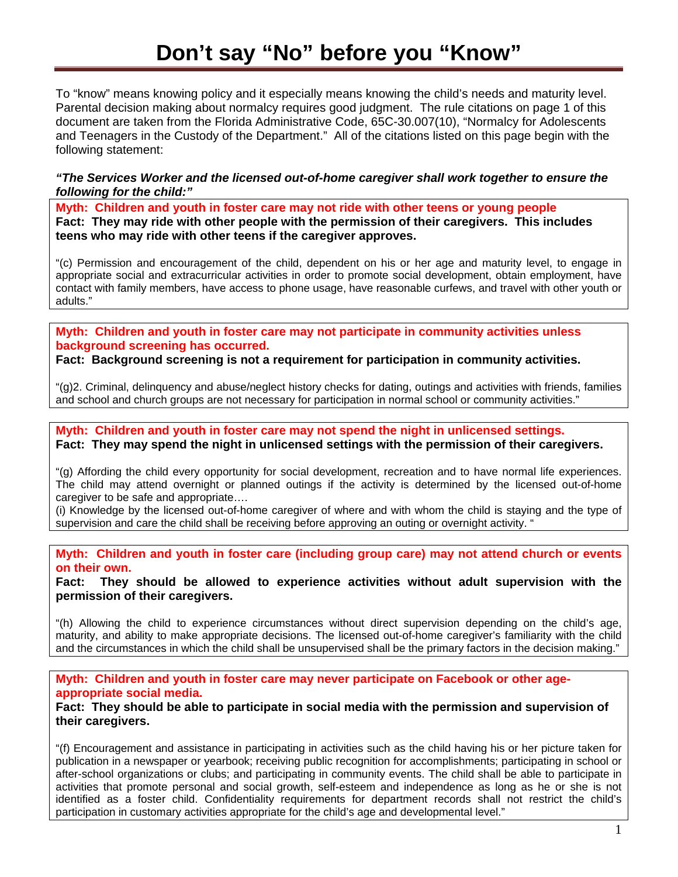## **Don't say "No" before you "Know"**

To "know" means knowing policy and it especially means knowing the child's needs and maturity level. Parental decision making about normalcy requires good judgment. The rule citations on page 1 of this document are taken from the Florida Administrative Code, 65C-30.007(10), "Normalcy for Adolescents and Teenagers in the Custody of the Department." All of the citations listed on this page begin with the following statement:

*"The Services Worker and the licensed out-of-home caregiver shall work together to ensure the following for the child:"* 

**Myth: Children and youth in foster care may not ride with other teens or young people Fact: They may ride with other people with the permission of their caregivers. This includes teens who may ride with other teens if the caregiver approves.** 

"(c) Permission and encouragement of the child, dependent on his or her age and maturity level, to engage in appropriate social and extracurricular activities in order to promote social development, obtain employment, have contact with family members, have access to phone usage, have reasonable curfews, and travel with other youth or adults."

**Myth: Children and youth in foster care may not participate in community activities unless background screening has occurred.** 

**Fact: Background screening is not a requirement for participation in community activities.** 

"(g)2. Criminal, delinquency and abuse/neglect history checks for dating, outings and activities with friends, families and school and church groups are not necessary for participation in normal school or community activities."

**Myth: Children and youth in foster care may not spend the night in unlicensed settings. Fact: They may spend the night in unlicensed settings with the permission of their caregivers.** 

"(g) Affording the child every opportunity for social development, recreation and to have normal life experiences. The child may attend overnight or planned outings if the activity is determined by the licensed out-of-home caregiver to be safe and appropriate….

(i) Knowledge by the licensed out-of-home caregiver of where and with whom the child is staying and the type of supervision and care the child shall be receiving before approving an outing or overnight activity. "

**Myth: Children and youth in foster care (including group care) may not attend church or events on their own.** 

**Fact: They should be allowed to experience activities without adult supervision with the permission of their caregivers.** 

"(h) Allowing the child to experience circumstances without direct supervision depending on the child's age, maturity, and ability to make appropriate decisions. The licensed out-of-home caregiver's familiarity with the child and the circumstances in which the child shall be unsupervised shall be the primary factors in the decision making."

**Myth: Children and youth in foster care may never participate on Facebook or other ageappropriate social media.** 

**Fact: They should be able to participate in social media with the permission and supervision of their caregivers.** 

"(f) Encouragement and assistance in participating in activities such as the child having his or her picture taken for publication in a newspaper or yearbook; receiving public recognition for accomplishments; participating in school or after-school organizations or clubs; and participating in community events. The child shall be able to participate in activities that promote personal and social growth, self-esteem and independence as long as he or she is not identified as a foster child. Confidentiality requirements for department records shall not restrict the child's participation in customary activities appropriate for the child's age and developmental level."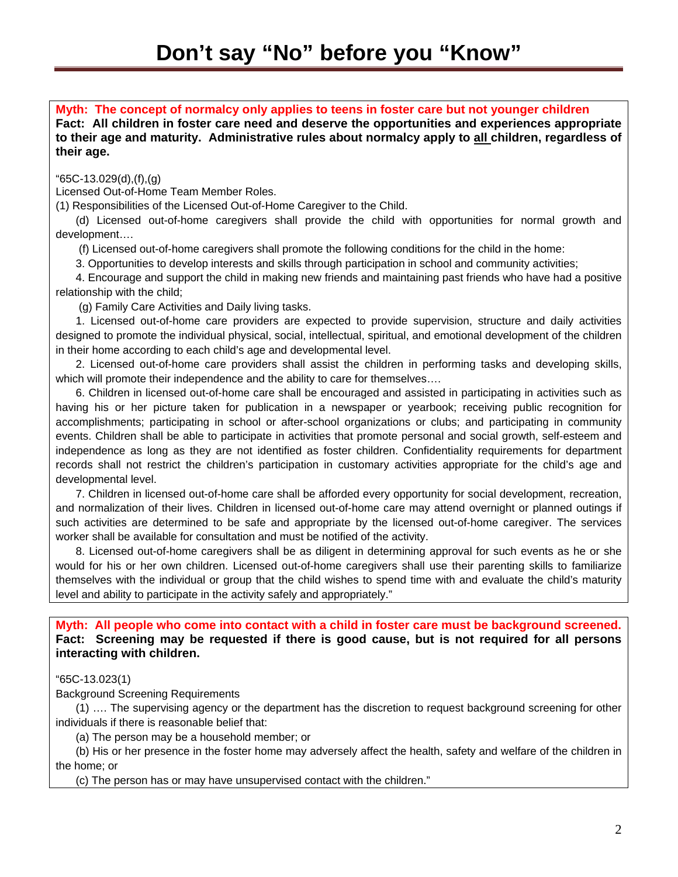**Myth: The concept of normalcy only applies to teens in foster care but not younger children** 

**Fact: All children in foster care need and deserve the opportunities and experiences appropriate to their age and maturity. Administrative rules about normalcy apply to all children, regardless of their age.** 

"65C-13.029(d),(f),(g)

Licensed Out-of-Home Team Member Roles.

(1) Responsibilities of the Licensed Out-of-Home Caregiver to the Child.

(d) Licensed out-of-home caregivers shall provide the child with opportunities for normal growth and development….

(f) Licensed out-of-home caregivers shall promote the following conditions for the child in the home:

3. Opportunities to develop interests and skills through participation in school and community activities;

4. Encourage and support the child in making new friends and maintaining past friends who have had a positive relationship with the child;

(g) Family Care Activities and Daily living tasks.

1. Licensed out-of-home care providers are expected to provide supervision, structure and daily activities designed to promote the individual physical, social, intellectual, spiritual, and emotional development of the children in their home according to each child's age and developmental level.

2. Licensed out-of-home care providers shall assist the children in performing tasks and developing skills, which will promote their independence and the ability to care for themselves....

6. Children in licensed out-of-home care shall be encouraged and assisted in participating in activities such as having his or her picture taken for publication in a newspaper or yearbook; receiving public recognition for accomplishments; participating in school or after-school organizations or clubs; and participating in community events. Children shall be able to participate in activities that promote personal and social growth, self-esteem and independence as long as they are not identified as foster children. Confidentiality requirements for department records shall not restrict the children's participation in customary activities appropriate for the child's age and developmental level.

7. Children in licensed out-of-home care shall be afforded every opportunity for social development, recreation, and normalization of their lives. Children in licensed out-of-home care may attend overnight or planned outings if such activities are determined to be safe and appropriate by the licensed out-of-home caregiver. The services worker shall be available for consultation and must be notified of the activity.

8. Licensed out-of-home caregivers shall be as diligent in determining approval for such events as he or she would for his or her own children. Licensed out-of-home caregivers shall use their parenting skills to familiarize themselves with the individual or group that the child wishes to spend time with and evaluate the child's maturity level and ability to participate in the activity safely and appropriately."

**Myth: All people who come into contact with a child in foster care must be background screened. Fact: Screening may be requested if there is good cause, but is not required for all persons interacting with children.** 

"65C-13.023(1)

Background Screening Requirements

(1) …. The supervising agency or the department has the discretion to request background screening for other individuals if there is reasonable belief that:

(a) The person may be a household member; or

(b) His or her presence in the foster home may adversely affect the health, safety and welfare of the children in the home; or

(c) The person has or may have unsupervised contact with the children."